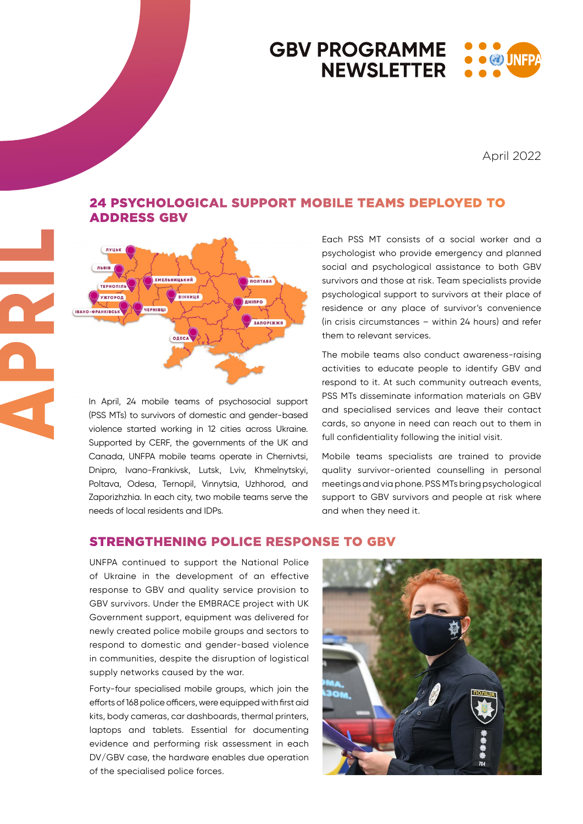## **GBV PROGRAMME**  $\bullet$   $\circledast$  inf **NEWSLETTER**

April 2022



ADDRESS GBV

In April, 24 mobile teams of psychosocial support (PSS MTs) to survivors of domestic and gender-based violence started working in 12 cities across Ukraine. Supported by CERF, the governments of the UK and Canada, UNFPA mobile teams operate in Chernivtsi, Dnipro, Ivano-Frankivsk, Lutsk, Lviv, Khmelnytskyi, Poltava, Odesa, Ternopil, Vinnytsia, Uzhhorod, and Zaporizhzhia. In each city, two mobile teams serve the needs of local residents and IDPs.

Each PSS MT consists of a social worker and a psychologist who provide emergency and planned social and psychological assistance to both GBV survivors and those at risk. Team specialists provide psychological support to survivors at their place of residence or any place of survivor's convenience (in crisis circumstances – within 24 hours) and refer them to relevant services.

The mobile teams also conduct awareness-raising activities to educate people to identify GBV and respond to it. At such community outreach events, PSS MTs disseminate information materials on GBV and specialised services and leave their contact cards, so anyone in need can reach out to them in full confidentiality following the initial visit.

Mobile teams specialists are trained to provide quality survivor-oriented counselling in personal meetings and via phone. PSS MTs bring psychological support to GBV survivors and people at risk where and when they need it.

## STRENGTHENING POLICE RESPONSE TO GBV

24 PSYCHOLOGICAL SUPPORT MOBILE TEAMS DEPLOYED TO

UNFPA continued to support the National Police of Ukraine in the development of an effective response to GBV and quality service provision to GBV survivors. Under the EMBRACE project with UK Government support, equipment was delivered for newly created police mobile groups and sectors to respond to domestic and gender-based violence in communities, despite the disruption of logistical supply networks caused by the war.

Forty-four specialised mobile groups, which join the efforts of 168 police officers, were equipped with first aid kits, body cameras, car dashboards, thermal printers, laptops and tablets. Essential for documenting evidence and performing risk assessment in each DV/GBV case, the hardware enables due operation of the specialised police forces.